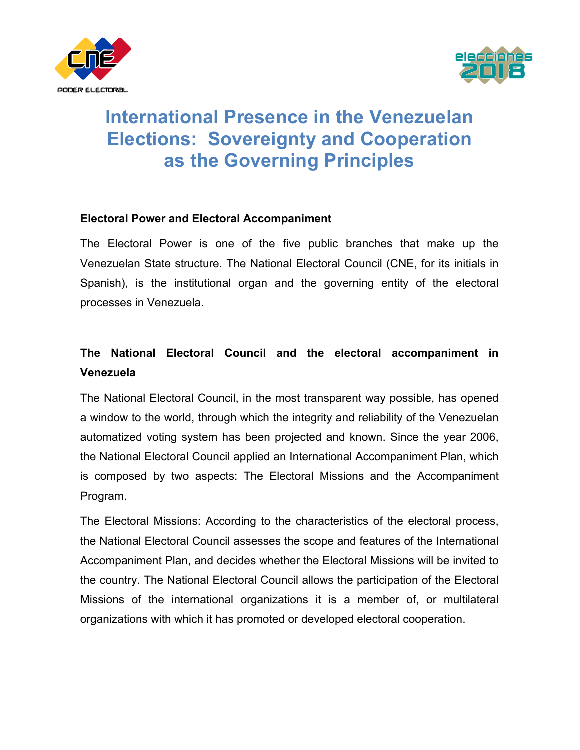



# **International Presence in the Venezuelan Elections: Sovereignty and Cooperation as the Governing Principles**

#### **Electoral Power and Electoral Accompaniment**

The Electoral Power is one of the five public branches that make up the Venezuelan State structure. The National Electoral Council (CNE, for its initials in Spanish), is the institutional organ and the governing entity of the electoral processes in Venezuela.

### **The National Electoral Council and the electoral accompaniment in Venezuela**

The National Electoral Council, in the most transparent way possible, has opened a window to the world, through which the integrity and reliability of the Venezuelan automatized voting system has been projected and known. Since the year 2006, the National Electoral Council applied an International Accompaniment Plan, which is composed by two aspects: The Electoral Missions and the Accompaniment Program.

The Electoral Missions: According to the characteristics of the electoral process, the National Electoral Council assesses the scope and features of the International Accompaniment Plan, and decides whether the Electoral Missions will be invited to the country. The National Electoral Council allows the participation of the Electoral Missions of the international organizations it is a member of, or multilateral organizations with which it has promoted or developed electoral cooperation.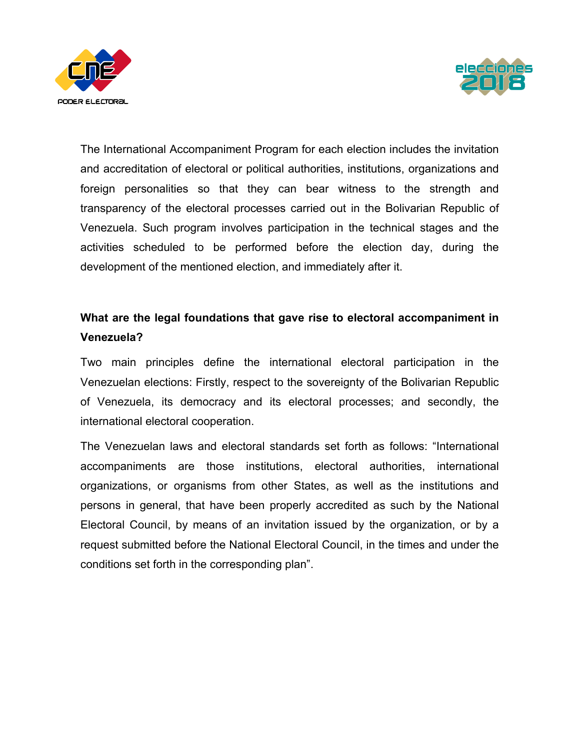



The International Accompaniment Program for each election includes the invitation and accreditation of electoral or political authorities, institutions, organizations and foreign personalities so that they can bear witness to the strength and transparency of the electoral processes carried out in the Bolivarian Republic of Venezuela. Such program involves participation in the technical stages and the activities scheduled to be performed before the election day, during the development of the mentioned election, and immediately after it.

### **What are the legal foundations that gave rise to electoral accompaniment in Venezuela?**

Two main principles define the international electoral participation in the Venezuelan elections: Firstly, respect to the sovereignty of the Bolivarian Republic of Venezuela, its democracy and its electoral processes; and secondly, the international electoral cooperation.

The Venezuelan laws and electoral standards set forth as follows: "International accompaniments are those institutions, electoral authorities, international organizations, or organisms from other States, as well as the institutions and persons in general, that have been properly accredited as such by the National Electoral Council, by means of an invitation issued by the organization, or by a request submitted before the National Electoral Council, in the times and under the conditions set forth in the corresponding plan".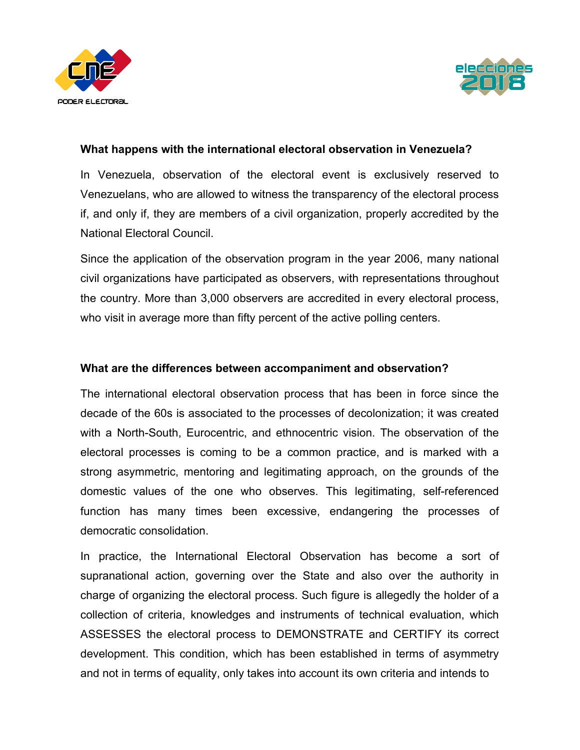



#### **What happens with the international electoral observation in Venezuela?**

In Venezuela, observation of the electoral event is exclusively reserved to Venezuelans, who are allowed to witness the transparency of the electoral process if, and only if, they are members of a civil organization, properly accredited by the National Electoral Council.

Since the application of the observation program in the year 2006, many national civil organizations have participated as observers, with representations throughout the country. More than 3,000 observers are accredited in every electoral process, who visit in average more than fifty percent of the active polling centers.

#### **What are the differences between accompaniment and observation?**

The international electoral observation process that has been in force since the decade of the 60s is associated to the processes of decolonization; it was created with a North-South, Eurocentric, and ethnocentric vision. The observation of the electoral processes is coming to be a common practice, and is marked with a strong asymmetric, mentoring and legitimating approach, on the grounds of the domestic values of the one who observes. This legitimating, self-referenced function has many times been excessive, endangering the processes of democratic consolidation.

In practice, the International Electoral Observation has become a sort of supranational action, governing over the State and also over the authority in charge of organizing the electoral process. Such figure is allegedly the holder of a collection of criteria, knowledges and instruments of technical evaluation, which ASSESSES the electoral process to DEMONSTRATE and CERTIFY its correct development. This condition, which has been established in terms of asymmetry and not in terms of equality, only takes into account its own criteria and intends to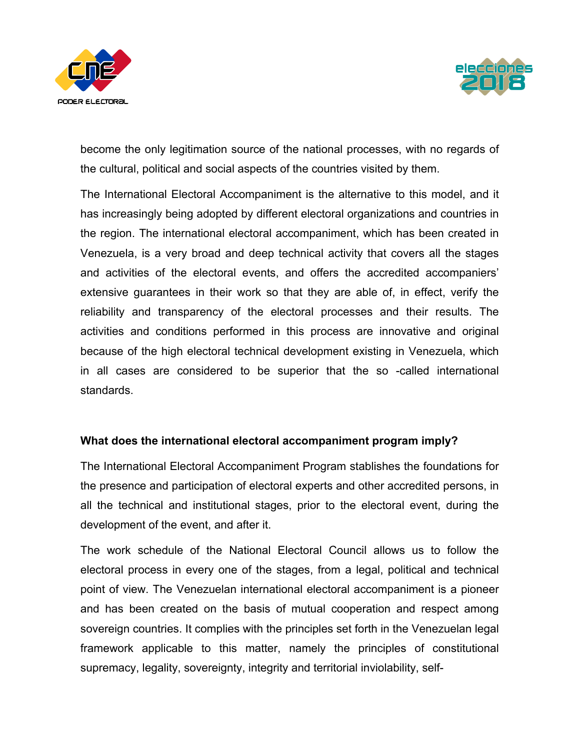



become the only legitimation source of the national processes, with no regards of the cultural, political and social aspects of the countries visited by them.

The International Electoral Accompaniment is the alternative to this model, and it has increasingly being adopted by different electoral organizations and countries in the region. The international electoral accompaniment, which has been created in Venezuela, is a very broad and deep technical activity that covers all the stages and activities of the electoral events, and offers the accredited accompaniers' extensive guarantees in their work so that they are able of, in effect, verify the reliability and transparency of the electoral processes and their results. The activities and conditions performed in this process are innovative and original because of the high electoral technical development existing in Venezuela, which in all cases are considered to be superior that the so -called international standards.

#### **What does the international electoral accompaniment program imply?**

The International Electoral Accompaniment Program stablishes the foundations for the presence and participation of electoral experts and other accredited persons, in all the technical and institutional stages, prior to the electoral event, during the development of the event, and after it.

The work schedule of the National Electoral Council allows us to follow the electoral process in every one of the stages, from a legal, political and technical point of view. The Venezuelan international electoral accompaniment is a pioneer and has been created on the basis of mutual cooperation and respect among sovereign countries. It complies with the principles set forth in the Venezuelan legal framework applicable to this matter, namely the principles of constitutional supremacy, legality, sovereignty, integrity and territorial inviolability, self-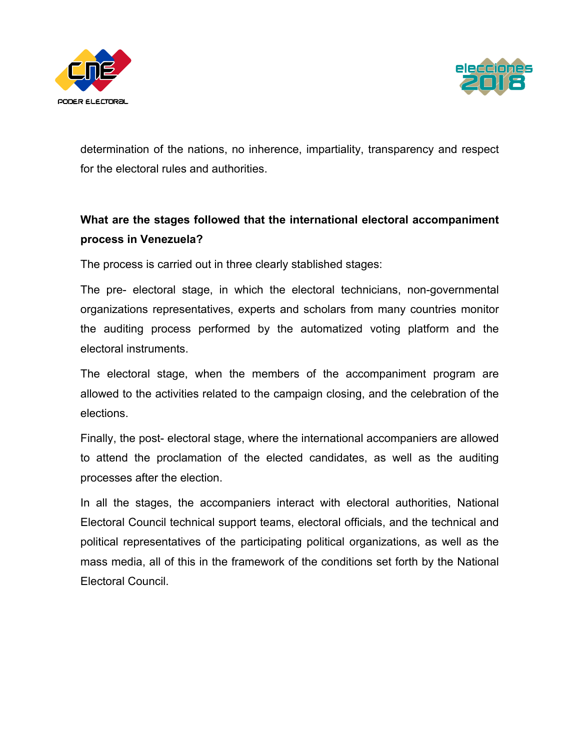



determination of the nations, no inherence, impartiality, transparency and respect for the electoral rules and authorities.

### **What are the stages followed that the international electoral accompaniment process in Venezuela?**

The process is carried out in three clearly stablished stages:

The pre- electoral stage, in which the electoral technicians, non-governmental organizations representatives, experts and scholars from many countries monitor the auditing process performed by the automatized voting platform and the electoral instruments.

The electoral stage, when the members of the accompaniment program are allowed to the activities related to the campaign closing, and the celebration of the elections.

Finally, the post- electoral stage, where the international accompaniers are allowed to attend the proclamation of the elected candidates, as well as the auditing processes after the election.

In all the stages, the accompaniers interact with electoral authorities, National Electoral Council technical support teams, electoral officials, and the technical and political representatives of the participating political organizations, as well as the mass media, all of this in the framework of the conditions set forth by the National Electoral Council.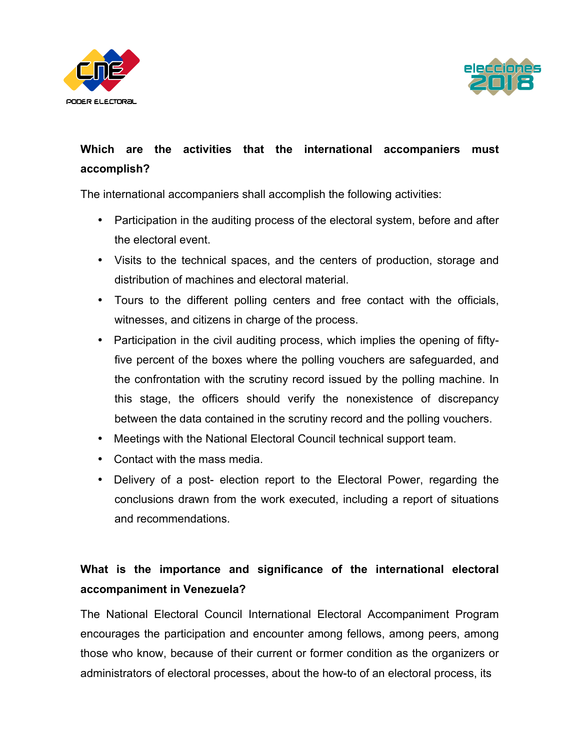



## **Which are the activities that the international accompaniers must accomplish?**

The international accompaniers shall accomplish the following activities:

- Participation in the auditing process of the electoral system, before and after the electoral event.
- Visits to the technical spaces, and the centers of production, storage and distribution of machines and electoral material.
- Tours to the different polling centers and free contact with the officials, witnesses, and citizens in charge of the process.
- Participation in the civil auditing process, which implies the opening of fiftyfive percent of the boxes where the polling vouchers are safeguarded, and the confrontation with the scrutiny record issued by the polling machine. In this stage, the officers should verify the nonexistence of discrepancy between the data contained in the scrutiny record and the polling vouchers.
- Meetings with the National Electoral Council technical support team.
- Contact with the mass media.
- Delivery of a post- election report to the Electoral Power, regarding the conclusions drawn from the work executed, including a report of situations and recommendations.

# **What is the importance and significance of the international electoral accompaniment in Venezuela?**

The National Electoral Council International Electoral Accompaniment Program encourages the participation and encounter among fellows, among peers, among those who know, because of their current or former condition as the organizers or administrators of electoral processes, about the how-to of an electoral process, its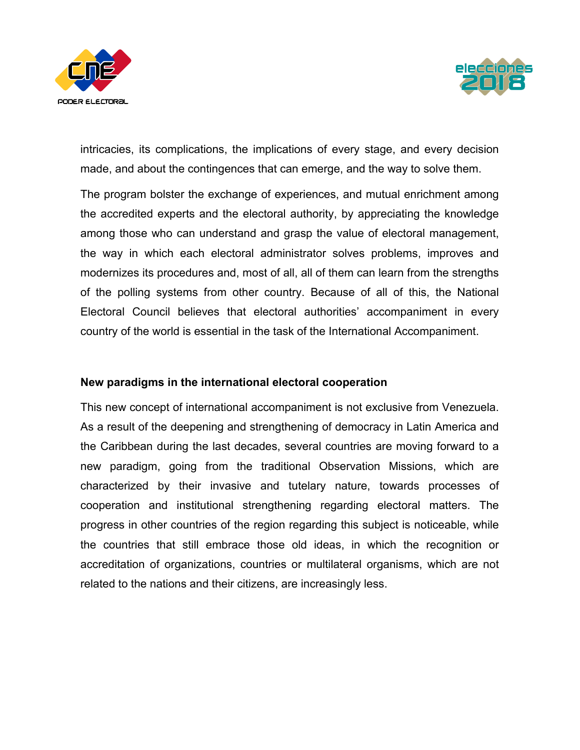



intricacies, its complications, the implications of every stage, and every decision made, and about the contingences that can emerge, and the way to solve them.

The program bolster the exchange of experiences, and mutual enrichment among the accredited experts and the electoral authority, by appreciating the knowledge among those who can understand and grasp the value of electoral management, the way in which each electoral administrator solves problems, improves and modernizes its procedures and, most of all, all of them can learn from the strengths of the polling systems from other country. Because of all of this, the National Electoral Council believes that electoral authorities' accompaniment in every country of the world is essential in the task of the International Accompaniment.

#### **New paradigms in the international electoral cooperation**

This new concept of international accompaniment is not exclusive from Venezuela. As a result of the deepening and strengthening of democracy in Latin America and the Caribbean during the last decades, several countries are moving forward to a new paradigm, going from the traditional Observation Missions, which are characterized by their invasive and tutelary nature, towards processes of cooperation and institutional strengthening regarding electoral matters. The progress in other countries of the region regarding this subject is noticeable, while the countries that still embrace those old ideas, in which the recognition or accreditation of organizations, countries or multilateral organisms, which are not related to the nations and their citizens, are increasingly less.